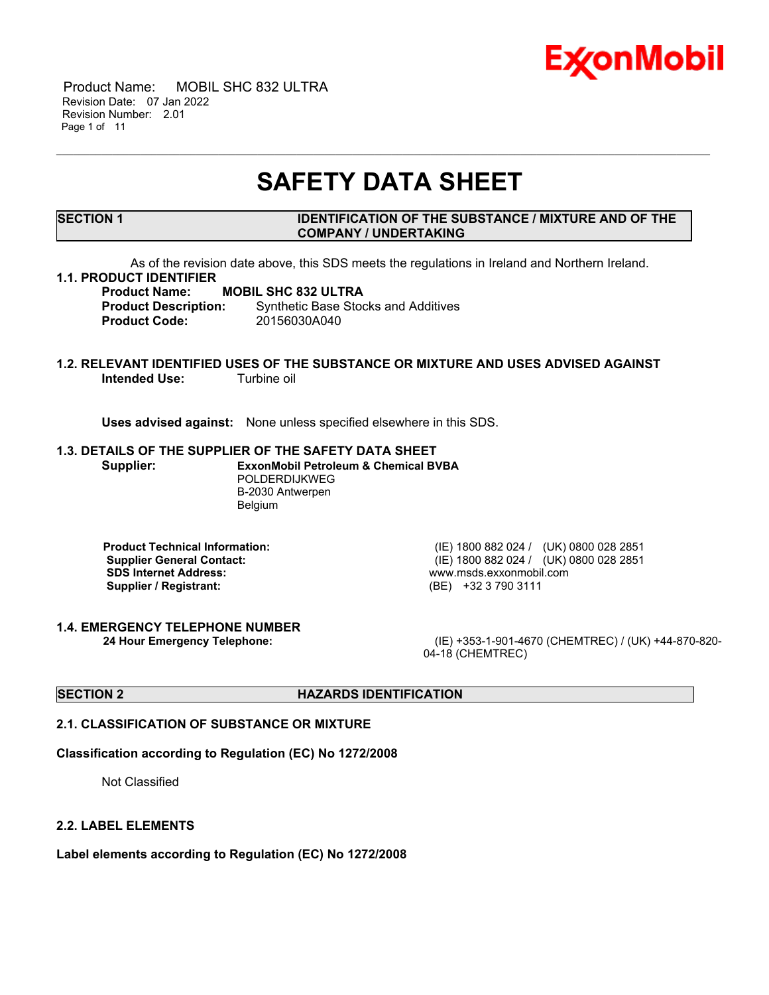

 Product Name: MOBIL SHC 832 ULTRA Revision Date: 07 Jan 2022 Revision Number: 2.01 Page 1 of 11

# **SAFETY DATA SHEET**

\_\_\_\_\_\_\_\_\_\_\_\_\_\_\_\_\_\_\_\_\_\_\_\_\_\_\_\_\_\_\_\_\_\_\_\_\_\_\_\_\_\_\_\_\_\_\_\_\_\_\_\_\_\_\_\_\_\_\_\_\_\_\_\_\_\_\_\_\_\_\_\_\_\_\_\_\_\_\_\_\_\_\_\_\_\_\_\_\_\_\_\_\_\_\_\_\_\_\_\_\_\_\_\_\_\_\_\_\_\_\_\_\_\_\_\_\_

### **SECTION 1 IDENTIFICATION OF THE SUBSTANCE / MIXTURE AND OF THE COMPANY / UNDERTAKING**

As of the revision date above, this SDS meets the regulations in Ireland and Northern Ireland.

### **1.1. PRODUCT IDENTIFIER**

**Product Name: MOBIL SHC 832 ULTRA Product Description:** Synthetic Base Stocks and Additives **Product Code:** 20156030A040

### **1.2. RELEVANT IDENTIFIED USES OF THE SUBSTANCE OR MIXTURE AND USES ADVISED AGAINST Intended Use:** Turbine oil

**Uses advised against:** None unless specified elsewhere in this SDS.

### **1.3. DETAILS OF THE SUPPLIER OF THE SAFETY DATA SHEET**

**Supplier: ExxonMobil Petroleum & Chemical BVBA** POLDERDIJKWEG B-2030 Antwerpen Belgium

**SDS Internet Address:** www.msds.exxonmobil.com **Supplier / Registrant:** (BE) +32 3 790 3111

**1.4. EMERGENCY TELEPHONE NUMBER**

**Product Technical Information:** (IE) 1800 882 024 / (UK) 0800 028 2851 **Supplier General Contact:** (IE) 1800 882 024 / (UK) 0800 028 2851

**24 Hour Emergency Telephone:** (IE) +353-1-901-4670 (CHEMTREC) / (UK) +44-870-820- 04-18 (CHEMTREC)

### **SECTION 2 HAZARDS IDENTIFICATION**

### **2.1. CLASSIFICATION OF SUBSTANCE OR MIXTURE**

### **Classification according to Regulation (EC) No 1272/2008**

Not Classified

### **2.2. LABEL ELEMENTS**

**Label elements according to Regulation (EC) No 1272/2008**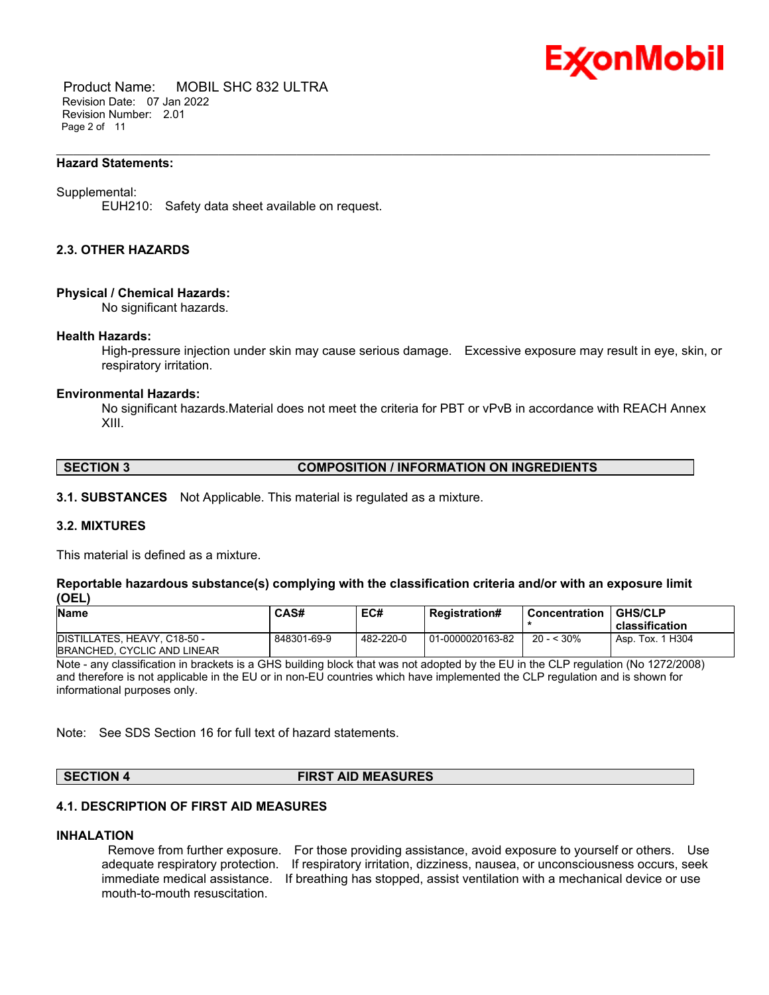

 Product Name: MOBIL SHC 832 ULTRA Revision Date: 07 Jan 2022 Revision Number: 2.01 Page 2 of 11

### **Hazard Statements:**

### Supplemental:

EUH210: Safety data sheet available on request.

### **2.3. OTHER HAZARDS**

### **Physical / Chemical Hazards:**

No significant hazards.

### **Health Hazards:**

High-pressure injection under skin may cause serious damage. Excessive exposure may result in eye, skin, or respiratory irritation.

\_\_\_\_\_\_\_\_\_\_\_\_\_\_\_\_\_\_\_\_\_\_\_\_\_\_\_\_\_\_\_\_\_\_\_\_\_\_\_\_\_\_\_\_\_\_\_\_\_\_\_\_\_\_\_\_\_\_\_\_\_\_\_\_\_\_\_\_\_\_\_\_\_\_\_\_\_\_\_\_\_\_\_\_\_\_\_\_\_\_\_\_\_\_\_\_\_\_\_\_\_\_\_\_\_\_\_\_\_\_\_\_\_\_\_\_\_

### **Environmental Hazards:**

No significant hazards.Material does not meet the criteria for PBT or vPvB in accordance with REACH Annex XIII.

### **SECTION 3 COMPOSITION / INFORMATION ON INGREDIENTS**

**3.1. SUBSTANCES** Not Applicable. This material is regulated as a mixture.

### **3.2. MIXTURES**

This material is defined as a mixture.

### **Reportable hazardous substance(s) complying with the classification criteria and/or with an exposure limit (OEL)**

| <b>Name</b>                  | CAS#        | EC#       | <b>Registration#</b> | Concentration | <b>GHS/CLP</b>   |
|------------------------------|-------------|-----------|----------------------|---------------|------------------|
|                              |             |           |                      |               | classification   |
| DISTILLATES, HEAVY, C18-50 - | 848301-69-9 | 482-220-0 | 01-0000020163-82     | $20 - 530\%$  | Asp. Tox. 1 H304 |
| BRANCHED, CYCLIC AND LINEAR  |             |           |                      |               |                  |

Note - any classification in brackets is a GHS building block that was not adopted by the EU in the CLP regulation (No 1272/2008) and therefore is not applicable in the EU or in non-EU countries which have implemented the CLP regulation and is shown for informational purposes only.

Note: See SDS Section 16 for full text of hazard statements.

### **SECTION 4 FIRST AID MEASURES**

### **4.1. DESCRIPTION OF FIRST AID MEASURES**

### **INHALATION**

Remove from further exposure. For those providing assistance, avoid exposure to yourself or others. Use adequate respiratory protection. If respiratory irritation, dizziness, nausea, or unconsciousness occurs, seek immediate medical assistance. If breathing has stopped, assist ventilation with a mechanical device or use mouth-to-mouth resuscitation.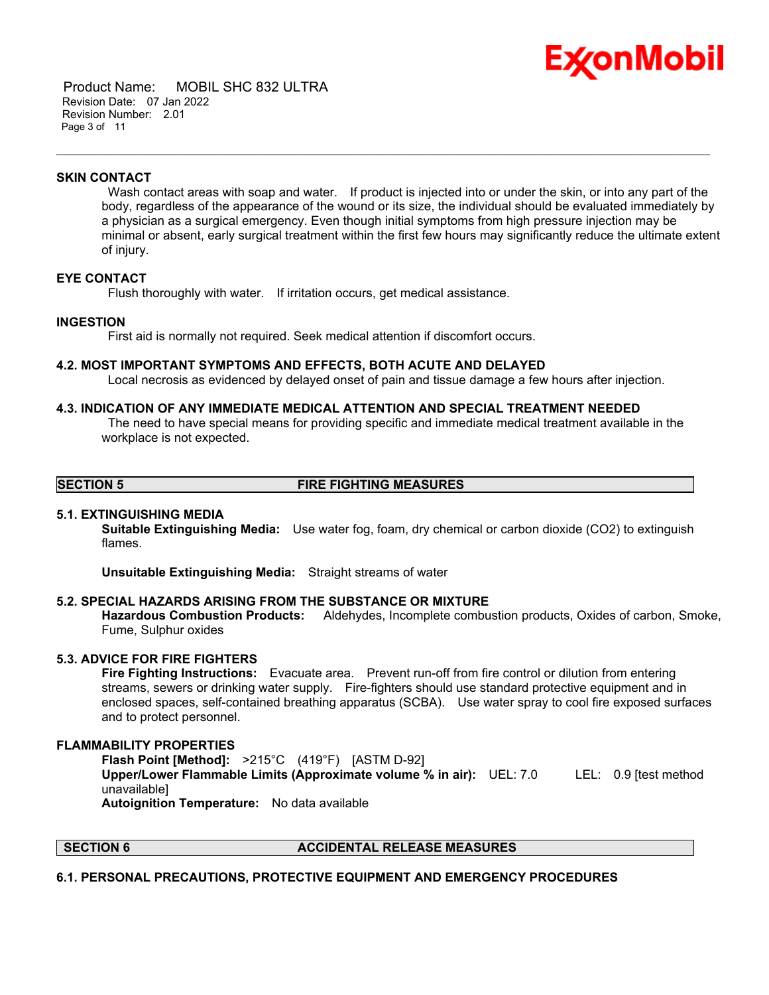

 Product Name: MOBIL SHC 832 ULTRA Revision Date: 07 Jan 2022 Revision Number: 2.01 Page 3 of 11

### **SKIN CONTACT**

Wash contact areas with soap and water. If product is injected into or under the skin, or into any part of the body, regardless of the appearance of the wound or its size, the individual should be evaluated immediately by a physician as a surgical emergency. Even though initial symptoms from high pressure injection may be minimal or absent, early surgical treatment within the first few hours may significantly reduce the ultimate extent of injury.

\_\_\_\_\_\_\_\_\_\_\_\_\_\_\_\_\_\_\_\_\_\_\_\_\_\_\_\_\_\_\_\_\_\_\_\_\_\_\_\_\_\_\_\_\_\_\_\_\_\_\_\_\_\_\_\_\_\_\_\_\_\_\_\_\_\_\_\_\_\_\_\_\_\_\_\_\_\_\_\_\_\_\_\_\_\_\_\_\_\_\_\_\_\_\_\_\_\_\_\_\_\_\_\_\_\_\_\_\_\_\_\_\_\_\_\_\_

### **EYE CONTACT**

Flush thoroughly with water. If irritation occurs, get medical assistance.

### **INGESTION**

First aid is normally not required. Seek medical attention if discomfort occurs.

### **4.2. MOST IMPORTANT SYMPTOMS AND EFFECTS, BOTH ACUTE AND DELAYED**

Local necrosis as evidenced by delayed onset of pain and tissue damage a few hours after injection.

### **4.3. INDICATION OF ANY IMMEDIATE MEDICAL ATTENTION AND SPECIAL TREATMENT NEEDED**

The need to have special means for providing specific and immediate medical treatment available in the workplace is not expected.

### **SECTION 5 FIRE FIGHTING MEASURES**

### **5.1. EXTINGUISHING MEDIA**

**Suitable Extinguishing Media:** Use water fog, foam, dry chemical or carbon dioxide (CO2) to extinguish flames.

**Unsuitable Extinguishing Media:** Straight streams of water

### **5.2. SPECIAL HAZARDS ARISING FROM THE SUBSTANCE OR MIXTURE**

**Hazardous Combustion Products:** Aldehydes, Incomplete combustion products, Oxides of carbon, Smoke, Fume, Sulphur oxides

### **5.3. ADVICE FOR FIRE FIGHTERS**

**Fire Fighting Instructions:** Evacuate area. Prevent run-off from fire control or dilution from entering streams, sewers or drinking water supply. Fire-fighters should use standard protective equipment and in enclosed spaces, self-contained breathing apparatus (SCBA). Use water spray to cool fire exposed surfaces and to protect personnel.

### **FLAMMABILITY PROPERTIES**

**Flash Point [Method]:** >215°C (419°F) [ASTM D-92] **Upper/Lower Flammable Limits (Approximate volume % in air):** UEL: 7.0 LEL: 0.9 [test method unavailable] **Autoignition Temperature:** No data available

### **SECTION 6 ACCIDENTAL RELEASE MEASURES**

### **6.1. PERSONAL PRECAUTIONS, PROTECTIVE EQUIPMENT AND EMERGENCY PROCEDURES**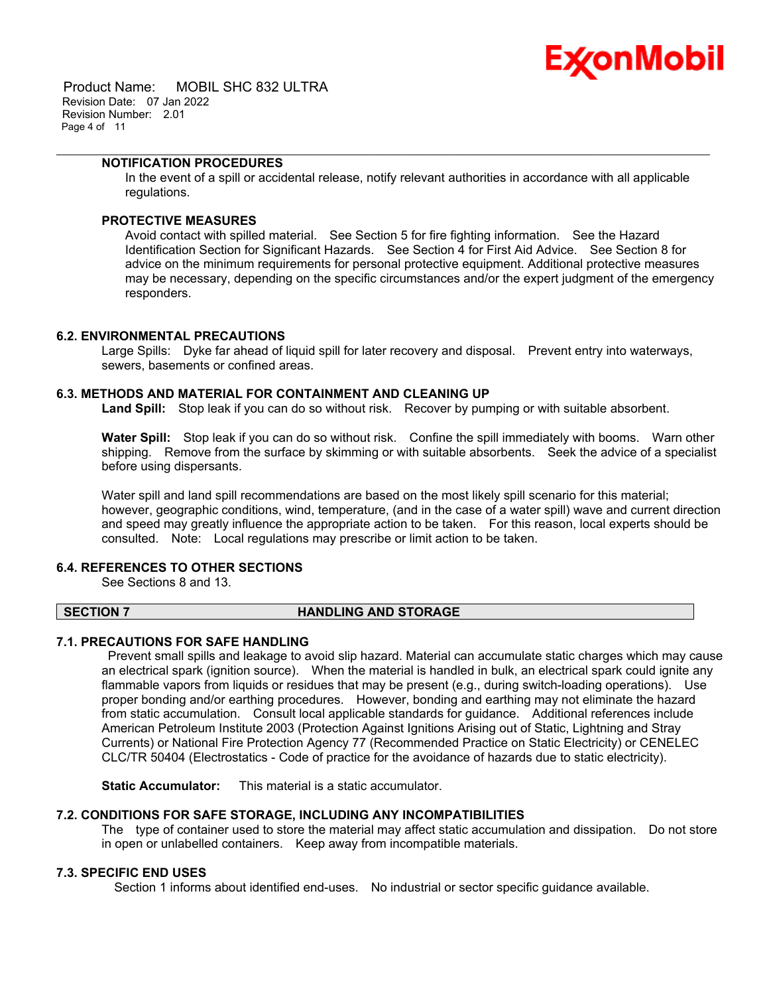

 Product Name: MOBIL SHC 832 ULTRA Revision Date: 07 Jan 2022 Revision Number: 2.01 Page 4 of 11

### **NOTIFICATION PROCEDURES**

In the event of a spill or accidental release, notify relevant authorities in accordance with all applicable regulations.

\_\_\_\_\_\_\_\_\_\_\_\_\_\_\_\_\_\_\_\_\_\_\_\_\_\_\_\_\_\_\_\_\_\_\_\_\_\_\_\_\_\_\_\_\_\_\_\_\_\_\_\_\_\_\_\_\_\_\_\_\_\_\_\_\_\_\_\_\_\_\_\_\_\_\_\_\_\_\_\_\_\_\_\_\_\_\_\_\_\_\_\_\_\_\_\_\_\_\_\_\_\_\_\_\_\_\_\_\_\_\_\_\_\_\_\_\_

### **PROTECTIVE MEASURES**

Avoid contact with spilled material. See Section 5 for fire fighting information. See the Hazard Identification Section for Significant Hazards. See Section 4 for First Aid Advice. See Section 8 for advice on the minimum requirements for personal protective equipment. Additional protective measures may be necessary, depending on the specific circumstances and/or the expert judgment of the emergency responders.

### **6.2. ENVIRONMENTAL PRECAUTIONS**

Large Spills: Dyke far ahead of liquid spill for later recovery and disposal. Prevent entry into waterways, sewers, basements or confined areas.

### **6.3. METHODS AND MATERIAL FOR CONTAINMENT AND CLEANING UP**

**Land Spill:** Stop leak if you can do so without risk. Recover by pumping or with suitable absorbent.

**Water Spill:** Stop leak if you can do so without risk. Confine the spill immediately with booms. Warn other shipping. Remove from the surface by skimming or with suitable absorbents. Seek the advice of a specialist before using dispersants.

Water spill and land spill recommendations are based on the most likely spill scenario for this material; however, geographic conditions, wind, temperature, (and in the case of a water spill) wave and current direction and speed may greatly influence the appropriate action to be taken. For this reason, local experts should be consulted. Note: Local regulations may prescribe or limit action to be taken.

### **6.4. REFERENCES TO OTHER SECTIONS**

See Sections 8 and 13.

### **SECTION 7 HANDLING AND STORAGE**

### **7.1. PRECAUTIONS FOR SAFE HANDLING**

Prevent small spills and leakage to avoid slip hazard. Material can accumulate static charges which may cause an electrical spark (ignition source). When the material is handled in bulk, an electrical spark could ignite any flammable vapors from liquids or residues that may be present (e.g., during switch-loading operations). Use proper bonding and/or earthing procedures. However, bonding and earthing may not eliminate the hazard from static accumulation. Consult local applicable standards for guidance. Additional references include American Petroleum Institute 2003 (Protection Against Ignitions Arising out of Static, Lightning and Stray Currents) or National Fire Protection Agency 77 (Recommended Practice on Static Electricity) or CENELEC CLC/TR 50404 (Electrostatics - Code of practice for the avoidance of hazards due to static electricity).

**Static Accumulator:** This material is a static accumulator.

### **7.2. CONDITIONS FOR SAFE STORAGE, INCLUDING ANY INCOMPATIBILITIES**

The type of container used to store the material may affect static accumulation and dissipation. Do not store in open or unlabelled containers. Keep away from incompatible materials.

### **7.3. SPECIFIC END USES**

Section 1 informs about identified end-uses. No industrial or sector specific guidance available.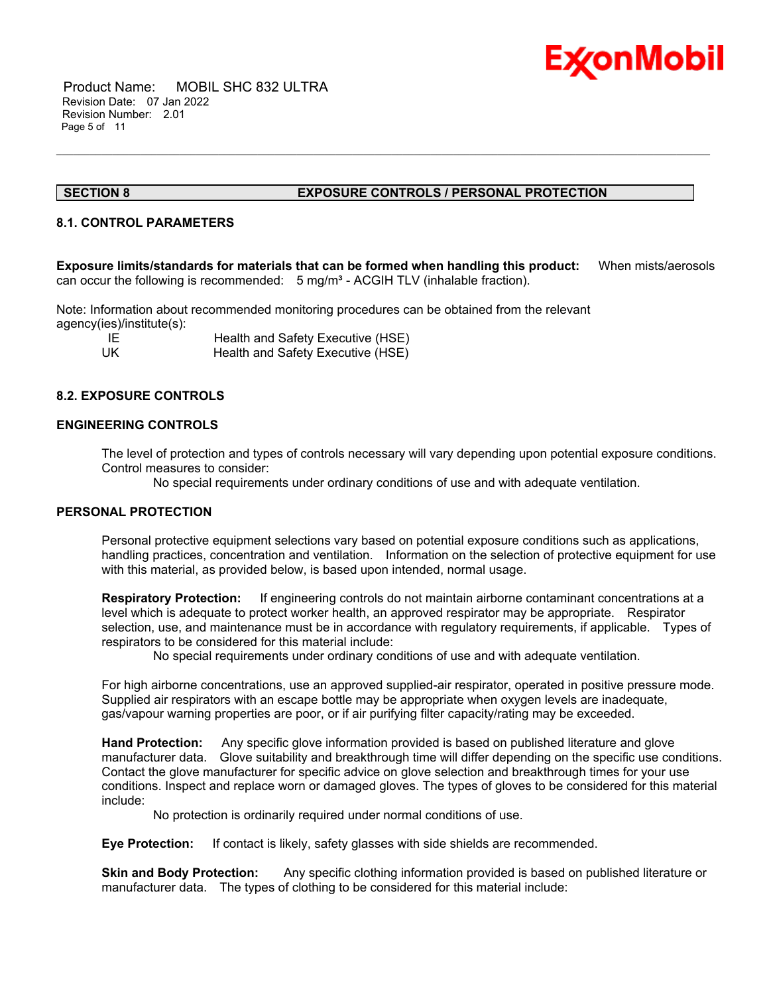

 Product Name: MOBIL SHC 832 ULTRA Revision Date: 07 Jan 2022 Revision Number: 2.01 Page 5 of 11

### **SECTION 8 EXPOSURE CONTROLS / PERSONAL PROTECTION**

### **8.1. CONTROL PARAMETERS**

**Exposure limits/standards for materials that can be formed when handling this product:** When mists/aerosols can occur the following is recommended:  $5 \text{ mg/m}^3$  - ACGIH TLV (inhalable fraction).

\_\_\_\_\_\_\_\_\_\_\_\_\_\_\_\_\_\_\_\_\_\_\_\_\_\_\_\_\_\_\_\_\_\_\_\_\_\_\_\_\_\_\_\_\_\_\_\_\_\_\_\_\_\_\_\_\_\_\_\_\_\_\_\_\_\_\_\_\_\_\_\_\_\_\_\_\_\_\_\_\_\_\_\_\_\_\_\_\_\_\_\_\_\_\_\_\_\_\_\_\_\_\_\_\_\_\_\_\_\_\_\_\_\_\_\_\_

Note: Information about recommended monitoring procedures can be obtained from the relevant agency(ies)/institute(s):

| - IE | Health and Safety Executive (HSE) |
|------|-----------------------------------|
| UK   | Health and Safety Executive (HSE) |

### **8.2. EXPOSURE CONTROLS**

### **ENGINEERING CONTROLS**

The level of protection and types of controls necessary will vary depending upon potential exposure conditions. Control measures to consider:

No special requirements under ordinary conditions of use and with adequate ventilation.

### **PERSONAL PROTECTION**

Personal protective equipment selections vary based on potential exposure conditions such as applications, handling practices, concentration and ventilation. Information on the selection of protective equipment for use with this material, as provided below, is based upon intended, normal usage.

**Respiratory Protection:** If engineering controls do not maintain airborne contaminant concentrations at a level which is adequate to protect worker health, an approved respirator may be appropriate. Respirator selection, use, and maintenance must be in accordance with regulatory requirements, if applicable. Types of respirators to be considered for this material include:

No special requirements under ordinary conditions of use and with adequate ventilation.

For high airborne concentrations, use an approved supplied-air respirator, operated in positive pressure mode. Supplied air respirators with an escape bottle may be appropriate when oxygen levels are inadequate, gas/vapour warning properties are poor, or if air purifying filter capacity/rating may be exceeded.

**Hand Protection:** Any specific glove information provided is based on published literature and glove manufacturer data. Glove suitability and breakthrough time will differ depending on the specific use conditions. Contact the glove manufacturer for specific advice on glove selection and breakthrough times for your use conditions. Inspect and replace worn or damaged gloves. The types of gloves to be considered for this material include:

No protection is ordinarily required under normal conditions of use.

**Eye Protection:** If contact is likely, safety glasses with side shields are recommended.

**Skin and Body Protection:** Any specific clothing information provided is based on published literature or manufacturer data. The types of clothing to be considered for this material include: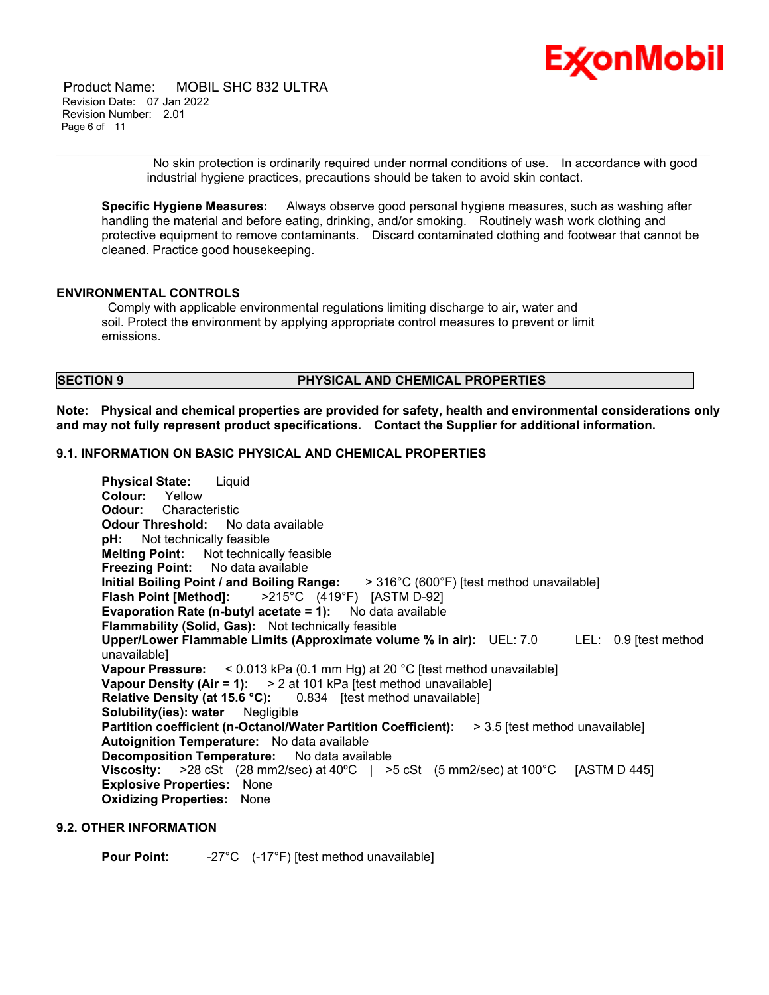

 Product Name: MOBIL SHC 832 ULTRA Revision Date: 07 Jan 2022 Revision Number: 2.01 Page 6 of 11

> No skin protection is ordinarily required under normal conditions of use. In accordance with good industrial hygiene practices, precautions should be taken to avoid skin contact.

**Specific Hygiene Measures:** Always observe good personal hygiene measures, such as washing after handling the material and before eating, drinking, and/or smoking. Routinely wash work clothing and protective equipment to remove contaminants. Discard contaminated clothing and footwear that cannot be cleaned. Practice good housekeeping.

\_\_\_\_\_\_\_\_\_\_\_\_\_\_\_\_\_\_\_\_\_\_\_\_\_\_\_\_\_\_\_\_\_\_\_\_\_\_\_\_\_\_\_\_\_\_\_\_\_\_\_\_\_\_\_\_\_\_\_\_\_\_\_\_\_\_\_\_\_\_\_\_\_\_\_\_\_\_\_\_\_\_\_\_\_\_\_\_\_\_\_\_\_\_\_\_\_\_\_\_\_\_\_\_\_\_\_\_\_\_\_\_\_\_\_\_\_

### **ENVIRONMENTAL CONTROLS**

Comply with applicable environmental regulations limiting discharge to air, water and soil. Protect the environment by applying appropriate control measures to prevent or limit emissions.

### **SECTION 9 PHYSICAL AND CHEMICAL PROPERTIES**

**Note: Physical and chemical properties are provided for safety, health and environmental considerations only and may not fully represent product specifications. Contact the Supplier for additional information.**

### **9.1. INFORMATION ON BASIC PHYSICAL AND CHEMICAL PROPERTIES**

**Physical State:** Liquid **Colour:** Yellow **Odour:** Characteristic **Odour Threshold:** No data available **pH:** Not technically feasible **Melting Point:** Not technically feasible **Freezing Point:** No data available **Initial Boiling Point / and Boiling Range:** > 316°C (600°F) [test method unavailable] **Flash Point [Method]:** >215°C (419°F) [ASTM D-92] **Evaporation Rate (n-butyl acetate = 1):** No data available **Flammability (Solid, Gas):** Not technically feasible **Upper/Lower Flammable Limits (Approximate volume % in air):** UEL: 7.0 LEL: 0.9 [test method unavailable] **Vapour Pressure:** < 0.013 kPa (0.1 mm Hg) at 20 °C [test method unavailable] **Vapour Density (Air = 1):** > 2 at 101 kPa [test method unavailable] **Relative Density (at 15.6 °C):** 0.834 [test method unavailable] **Solubility(ies): water** Negligible **Partition coefficient (n-Octanol/Water Partition Coefficient):** > 3.5 [test method unavailable] **Autoignition Temperature:** No data available **Decomposition Temperature:** No data available **Viscosity:** >28 cSt (28 mm2/sec) at 40ºC | >5 cSt (5 mm2/sec) at 100°C [ASTM D 445] **Explosive Properties:** None **Oxidizing Properties:** None

### **9.2. OTHER INFORMATION**

**Pour Point:** -27°C (-17°F) [test method unavailable]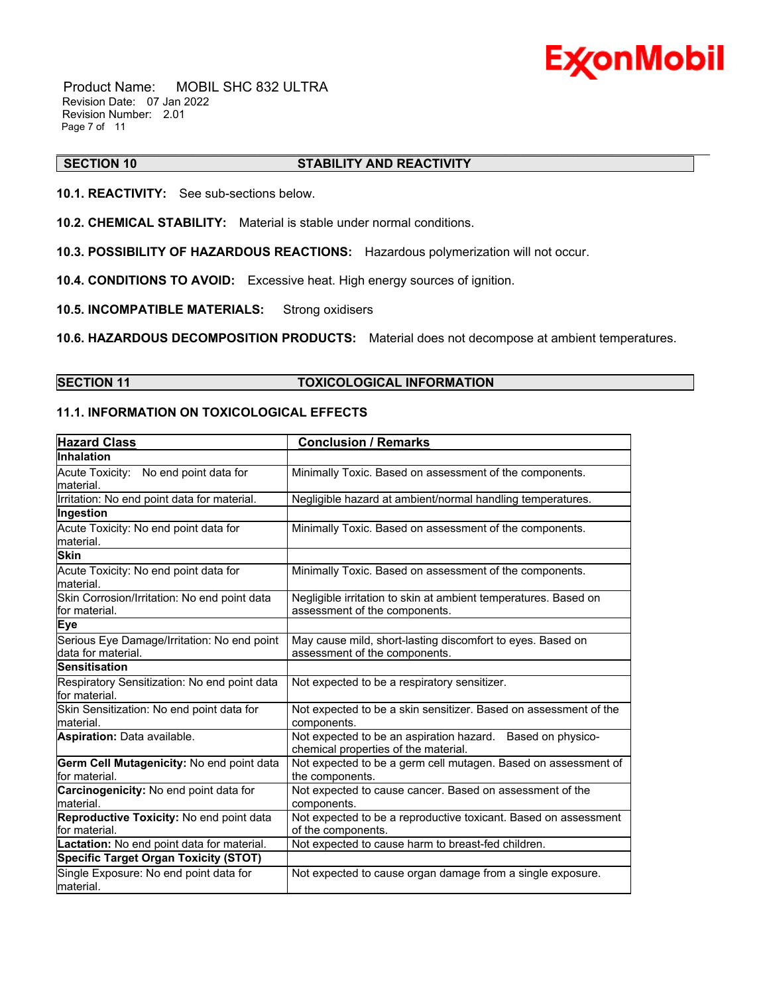

 Product Name: MOBIL SHC 832 ULTRA Revision Date: 07 Jan 2022 Revision Number: 2.01 Page 7 of 11

### \_\_\_\_\_\_\_\_\_\_\_\_\_\_\_\_\_\_\_\_\_\_\_\_\_\_\_\_\_\_\_\_\_\_\_\_\_\_\_\_\_\_\_\_\_\_\_\_\_\_\_\_\_\_\_\_\_\_\_\_\_\_\_\_\_\_\_\_\_\_\_\_\_\_\_\_\_\_\_\_\_\_\_\_\_\_\_\_\_\_\_\_\_\_\_\_\_\_\_\_\_\_\_\_\_\_\_\_\_\_\_\_\_\_\_\_\_ **SECTION 10 STABILITY AND REACTIVITY**

**10.1. REACTIVITY:** See sub-sections below.

- **10.2. CHEMICAL STABILITY:** Material is stable under normal conditions.
- **10.3. POSSIBILITY OF HAZARDOUS REACTIONS:** Hazardous polymerization will not occur.
- **10.4. CONDITIONS TO AVOID:** Excessive heat. High energy sources of ignition.
- **10.5. INCOMPATIBLE MATERIALS:** Strong oxidisers

**10.6. HAZARDOUS DECOMPOSITION PRODUCTS:** Material does not decompose at ambient temperatures.

### **SECTION 11 TOXICOLOGICAL INFORMATION**

### **11.1. INFORMATION ON TOXICOLOGICAL EFFECTS**

| <b>Hazard Class</b>                                                | <b>Conclusion / Remarks</b>                                                                        |  |  |  |
|--------------------------------------------------------------------|----------------------------------------------------------------------------------------------------|--|--|--|
| <b>Inhalation</b>                                                  |                                                                                                    |  |  |  |
| Acute Toxicity: No end point data for<br>lmaterial.                | Minimally Toxic. Based on assessment of the components.                                            |  |  |  |
| Irritation: No end point data for material.                        | Negligible hazard at ambient/normal handling temperatures.                                         |  |  |  |
| Ingestion                                                          |                                                                                                    |  |  |  |
| Acute Toxicity: No end point data for<br>material.                 | Minimally Toxic. Based on assessment of the components.                                            |  |  |  |
| <b>Skin</b>                                                        |                                                                                                    |  |  |  |
| Acute Toxicity: No end point data for<br>lmaterial.                | Minimally Toxic. Based on assessment of the components.                                            |  |  |  |
| Skin Corrosion/Irritation: No end point data<br>for material.      | Negligible irritation to skin at ambient temperatures. Based on<br>assessment of the components.   |  |  |  |
| Eye                                                                |                                                                                                    |  |  |  |
| Serious Eye Damage/Irritation: No end point<br>ldata for material. | May cause mild, short-lasting discomfort to eyes. Based on<br>assessment of the components.        |  |  |  |
| <b>Sensitisation</b>                                               |                                                                                                    |  |  |  |
| Respiratory Sensitization: No end point data<br>for material.      | Not expected to be a respiratory sensitizer.                                                       |  |  |  |
| Skin Sensitization: No end point data for<br>lmaterial.            | Not expected to be a skin sensitizer. Based on assessment of the<br>components.                    |  |  |  |
| Aspiration: Data available.                                        | Not expected to be an aspiration hazard. Based on physico-<br>chemical properties of the material. |  |  |  |
| Germ Cell Mutagenicity: No end point data<br>for material.         | Not expected to be a germ cell mutagen. Based on assessment of<br>the components.                  |  |  |  |
| Carcinogenicity: No end point data for<br>material.                | Not expected to cause cancer. Based on assessment of the<br>components.                            |  |  |  |
| Reproductive Toxicity: No end point data<br>lfor material.         | Not expected to be a reproductive toxicant. Based on assessment<br>of the components.              |  |  |  |
| Lactation: No end point data for material.                         | Not expected to cause harm to breast-fed children.                                                 |  |  |  |
| <b>Specific Target Organ Toxicity (STOT)</b>                       |                                                                                                    |  |  |  |
| Single Exposure: No end point data for<br>material.                | Not expected to cause organ damage from a single exposure.                                         |  |  |  |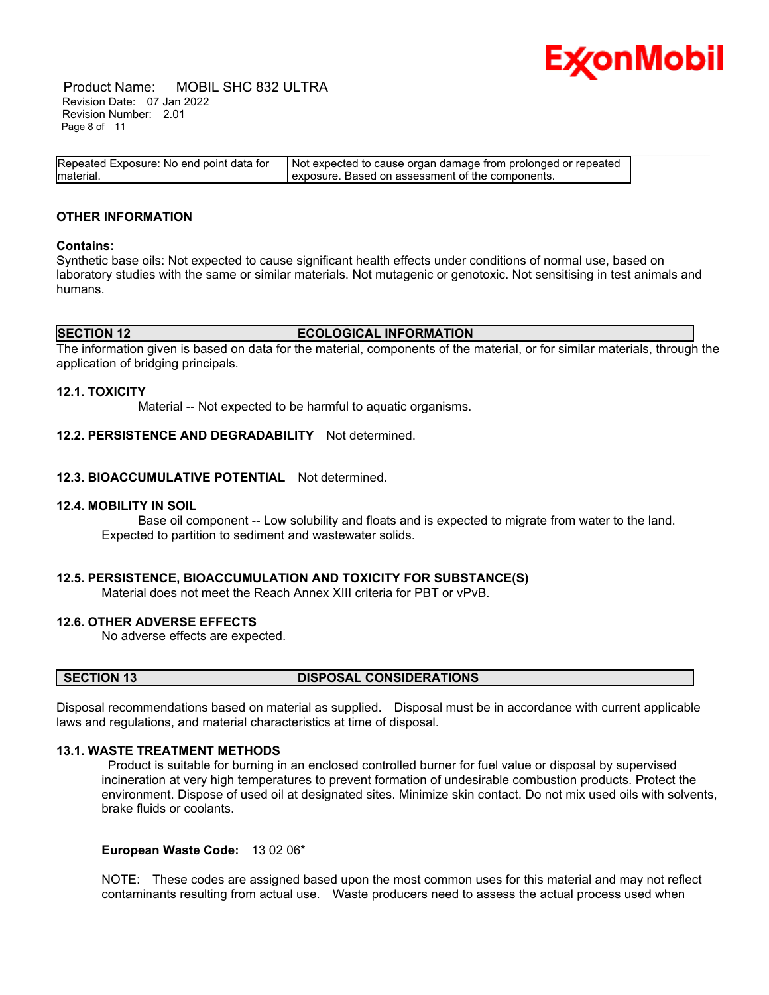

 Product Name: MOBIL SHC 832 ULTRA Revision Date: 07 Jan 2022 Revision Number: 2.01 Page 8 of 11

| Repeated Exposure: No end point data for | Not expected to cause organ damage from prolonged or repeated |
|------------------------------------------|---------------------------------------------------------------|
| material.                                | exposure. Based on assessment of the components.              |

### **OTHER INFORMATION**

### **Contains:**

Synthetic base oils: Not expected to cause significant health effects under conditions of normal use, based on laboratory studies with the same or similar materials. Not mutagenic or genotoxic. Not sensitising in test animals and humans.

### **SECTION 12 ECOLOGICAL INFORMATION**

The information given is based on data for the material, components of the material, or for similar materials, through the application of bridging principals.

### **12.1. TOXICITY**

Material -- Not expected to be harmful to aquatic organisms.

### **12.2. PERSISTENCE AND DEGRADABILITY** Not determined.

### **12.3. BIOACCUMULATIVE POTENTIAL** Not determined.

### **12.4. MOBILITY IN SOIL**

 Base oil component -- Low solubility and floats and is expected to migrate from water to the land. Expected to partition to sediment and wastewater solids.

### **12.5. PERSISTENCE, BIOACCUMULATION AND TOXICITY FOR SUBSTANCE(S)**

Material does not meet the Reach Annex XIII criteria for PBT or vPvB.

### **12.6. OTHER ADVERSE EFFECTS**

No adverse effects are expected.

### **SECTION 13 DISPOSAL CONSIDERATIONS**

Disposal recommendations based on material as supplied. Disposal must be in accordance with current applicable laws and regulations, and material characteristics at time of disposal.

### **13.1. WASTE TREATMENT METHODS**

Product is suitable for burning in an enclosed controlled burner for fuel value or disposal by supervised incineration at very high temperatures to prevent formation of undesirable combustion products. Protect the environment. Dispose of used oil at designated sites. Minimize skin contact. Do not mix used oils with solvents, brake fluids or coolants.

### **European Waste Code:** 13 02 06\*

NOTE: These codes are assigned based upon the most common uses for this material and may not reflect contaminants resulting from actual use. Waste producers need to assess the actual process used when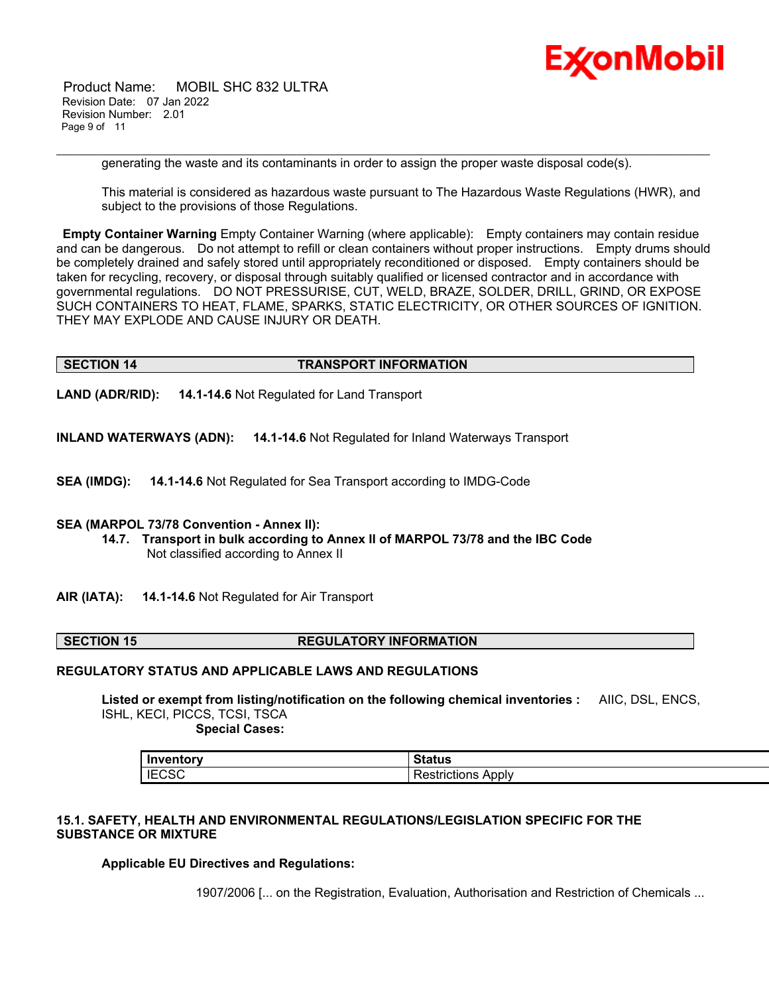

 Product Name: MOBIL SHC 832 ULTRA Revision Date: 07 Jan 2022 Revision Number: 2.01 Page 9 of 11

generating the waste and its contaminants in order to assign the proper waste disposal code(s).

\_\_\_\_\_\_\_\_\_\_\_\_\_\_\_\_\_\_\_\_\_\_\_\_\_\_\_\_\_\_\_\_\_\_\_\_\_\_\_\_\_\_\_\_\_\_\_\_\_\_\_\_\_\_\_\_\_\_\_\_\_\_\_\_\_\_\_\_\_\_\_\_\_\_\_\_\_\_\_\_\_\_\_\_\_\_\_\_\_\_\_\_\_\_\_\_\_\_\_\_\_\_\_\_\_\_\_\_\_\_\_\_\_\_\_\_\_

This material is considered as hazardous waste pursuant to The Hazardous Waste Regulations (HWR), and subject to the provisions of those Regulations.

**Empty Container Warning** Empty Container Warning (where applicable): Empty containers may contain residue and can be dangerous. Do not attempt to refill or clean containers without proper instructions. Empty drums should be completely drained and safely stored until appropriately reconditioned or disposed. Empty containers should be taken for recycling, recovery, or disposal through suitably qualified or licensed contractor and in accordance with governmental regulations. DO NOT PRESSURISE, CUT, WELD, BRAZE, SOLDER, DRILL, GRIND, OR EXPOSE SUCH CONTAINERS TO HEAT, FLAME, SPARKS, STATIC ELECTRICITY, OR OTHER SOURCES OF IGNITION. THEY MAY EXPLODE AND CAUSE INJURY OR DEATH.

### **SECTION 14 TRANSPORT INFORMATION**

**LAND (ADR/RID): 14.1-14.6** Not Regulated for Land Transport

**INLAND WATERWAYS (ADN): 14.1-14.6** Not Regulated for Inland Waterways Transport

**SEA (IMDG): 14.1-14.6** Not Regulated for Sea Transport according to IMDG-Code

### **SEA (MARPOL 73/78 Convention - Annex II):**

- **14.7. Transport in bulk according to Annex II of MARPOL 73/78 and the IBC Code** Not classified according to Annex II
- **AIR (IATA): 14.1-14.6** Not Regulated for Air Transport

### **SECTION 15 REGULATORY INFORMATION**

### **REGULATORY STATUS AND APPLICABLE LAWS AND REGULATIONS**

**Listed or exempt from listing/notification on the following chemical inventories :** AIIC, DSL, ENCS, ISHL, KECI, PICCS, TCSI, TSCA  **Special Cases:**

**Inventory Status** IECSC Restrictions Apply

### **15.1. SAFETY, HEALTH AND ENVIRONMENTAL REGULATIONS/LEGISLATION SPECIFIC FOR THE SUBSTANCE OR MIXTURE**

**Applicable EU Directives and Regulations:**

1907/2006 [... on the Registration, Evaluation, Authorisation and Restriction of Chemicals ...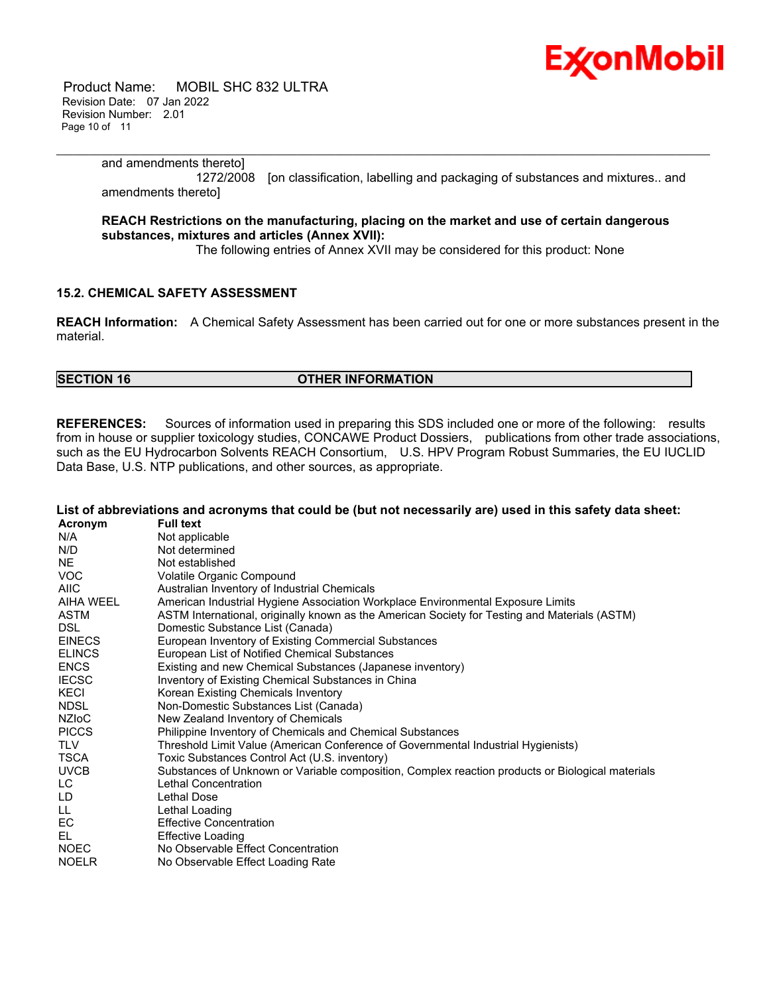

 Product Name: MOBIL SHC 832 ULTRA Revision Date: 07 Jan 2022 Revision Number: 2.01 Page 10 of 11

### \_\_\_\_\_\_\_\_\_\_\_\_\_\_\_\_\_\_\_\_\_\_\_\_\_\_\_\_\_\_\_\_\_\_\_\_\_\_\_\_\_\_\_\_\_\_\_\_\_\_\_\_\_\_\_\_\_\_\_\_\_\_\_\_\_\_\_\_\_\_\_\_\_\_\_\_\_\_\_\_\_\_\_\_\_\_\_\_\_\_\_\_\_\_\_\_\_\_\_\_\_\_\_\_\_\_\_\_\_\_\_\_\_\_\_\_\_ and amendments thereto]

 1272/2008 [on classification, labelling and packaging of substances and mixtures.. and amendments thereto]

### **REACH Restrictions on the manufacturing, placing on the market and use of certain dangerous substances, mixtures and articles (Annex XVII):**

The following entries of Annex XVII may be considered for this product: None

### **15.2. CHEMICAL SAFETY ASSESSMENT**

**REACH Information:** A Chemical Safety Assessment has been carried out for one or more substances present in the material.

### **SECTION 16 OTHER INFORMATION**

**REFERENCES:** Sources of information used in preparing this SDS included one or more of the following: results from in house or supplier toxicology studies, CONCAWE Product Dossiers, publications from other trade associations, such as the EU Hydrocarbon Solvents REACH Consortium, U.S. HPV Program Robust Summaries, the EU IUCLID Data Base, U.S. NTP publications, and other sources, as appropriate.

|               | List of abbreviations and acronyms that could be (but not necessarily are) used in this safety data sheet: |
|---------------|------------------------------------------------------------------------------------------------------------|
| Acronym       | <b>Full text</b>                                                                                           |
| N/A           | Not applicable                                                                                             |
| N/D           | Not determined                                                                                             |
| <b>NE</b>     | Not established                                                                                            |
| VOC           | Volatile Organic Compound                                                                                  |
| <b>AIIC</b>   | Australian Inventory of Industrial Chemicals                                                               |
| AIHA WEEL     | American Industrial Hygiene Association Workplace Environmental Exposure Limits                            |
| <b>ASTM</b>   | ASTM International, originally known as the American Society for Testing and Materials (ASTM)              |
| DSL.          | Domestic Substance List (Canada)                                                                           |
| <b>EINECS</b> | European Inventory of Existing Commercial Substances                                                       |
| <b>ELINCS</b> | European List of Notified Chemical Substances                                                              |
| <b>ENCS</b>   | Existing and new Chemical Substances (Japanese inventory)                                                  |
| <b>IECSC</b>  | Inventory of Existing Chemical Substances in China                                                         |
| KECI          | Korean Existing Chemicals Inventory                                                                        |
| <b>NDSL</b>   | Non-Domestic Substances List (Canada)                                                                      |
| NZIoC         | New Zealand Inventory of Chemicals                                                                         |
| <b>PICCS</b>  | Philippine Inventory of Chemicals and Chemical Substances                                                  |
| <b>TLV</b>    | Threshold Limit Value (American Conference of Governmental Industrial Hygienists)                          |
| <b>TSCA</b>   | Toxic Substances Control Act (U.S. inventory)                                                              |
| <b>UVCB</b>   | Substances of Unknown or Variable composition, Complex reaction products or Biological materials           |
| LC.           | Lethal Concentration                                                                                       |
| LD            | Lethal Dose                                                                                                |
| LL.           | Lethal Loading                                                                                             |
| EC.           | <b>Effective Concentration</b>                                                                             |
| EL            | <b>Effective Loading</b>                                                                                   |
| <b>NOEC</b>   | No Observable Effect Concentration                                                                         |
| <b>NOELR</b>  | No Observable Effect Loading Rate                                                                          |